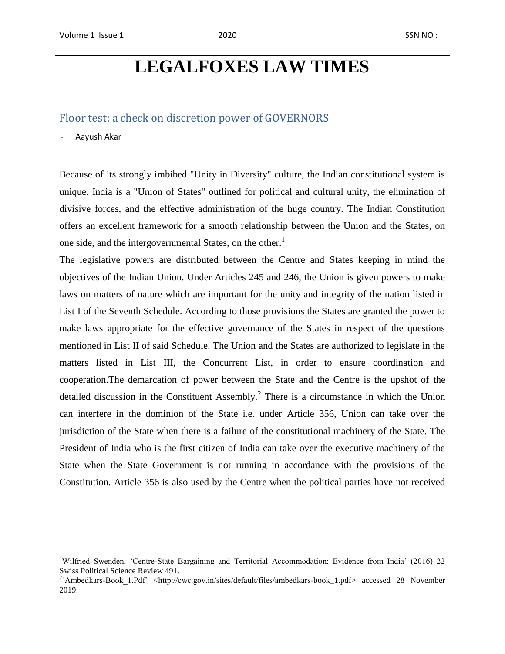# **LEGALFOXES LAW TIMES**

## Floor test: a check on discretion power of GOVERNORS

#### - Aayush Akar

 $\overline{\phantom{a}}$ 

Because of its strongly imbibed "Unity in Diversity" culture, the Indian constitutional system is unique. India is a "Union of States" outlined for political and cultural unity, the elimination of divisive forces, and the effective administration of the huge country. The Indian Constitution offers an excellent framework for a smooth relationship between the Union and the States, on one side, and the intergovernmental States, on the other.<sup>1</sup>

The legislative powers are distributed between the Centre and States keeping in mind the objectives of the Indian Union. Under Articles 245 and 246, the Union is given powers to make laws on matters of nature which are important for the unity and integrity of the nation listed in List I of the Seventh Schedule. According to those provisions the States are granted the power to make laws appropriate for the effective governance of the States in respect of the questions mentioned in List II of said Schedule. The Union and the States are authorized to legislate in the matters listed in List III, the Concurrent List, in order to ensure coordination and cooperation.The demarcation of power between the State and the Centre is the upshot of the detailed discussion in the Constituent Assembly.<sup>2</sup> There is a circumstance in which the Union can interfere in the dominion of the State i.e. under Article 356, Union can take over the jurisdiction of the State when there is a failure of the constitutional machinery of the State. The President of India who is the first citizen of India can take over the executive machinery of the State when the State Government is not running in accordance with the provisions of the Constitution. Article 356 is also used by the Centre when the political parties have not received

<sup>&</sup>lt;sup>1</sup>Wilfried Swenden, 'Centre-State Bargaining and Territorial Accommodation: Evidence from India' (2016) 22 Swiss Political Science Review 491.<br><sup>2</sup> Ambedkars-Book 1.Pdf' <http://cwc.gov.in/sites/default/files/ambedkars-book\_1.pdf> accessed 28 November

<sup>2019.</sup>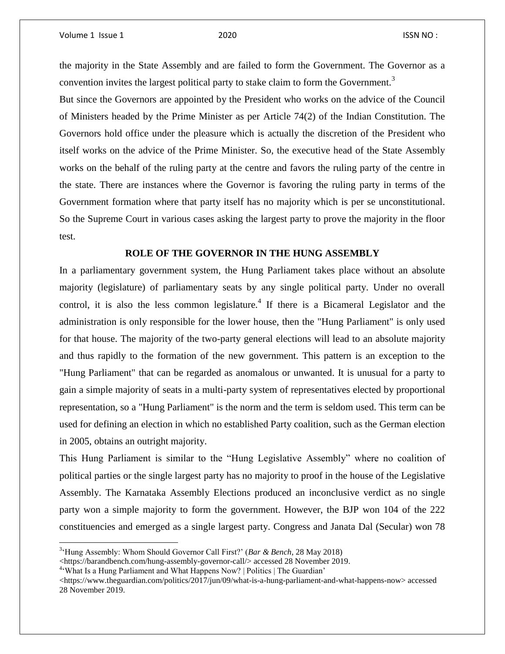the majority in the State Assembly and are failed to form the Government. The Governor as a convention invites the largest political party to stake claim to form the Government.<sup>3</sup>

But since the Governors are appointed by the President who works on the advice of the Council of Ministers headed by the Prime Minister as per Article 74(2) of the Indian Constitution. The Governors hold office under the pleasure which is actually the discretion of the President who itself works on the advice of the Prime Minister. So, the executive head of the State Assembly works on the behalf of the ruling party at the centre and favors the ruling party of the centre in the state. There are instances where the Governor is favoring the ruling party in terms of the Government formation where that party itself has no majority which is per se unconstitutional. So the Supreme Court in various cases asking the largest party to prove the majority in the floor test.

#### **ROLE OF THE GOVERNOR IN THE HUNG ASSEMBLY**

In a parliamentary government system, the Hung Parliament takes place without an absolute majority (legislature) of parliamentary seats by any single political party. Under no overall control, it is also the less common legislature.<sup>4</sup> If there is a Bicameral Legislator and the administration is only responsible for the lower house, then the "Hung Parliament" is only used for that house. The majority of the two-party general elections will lead to an absolute majority and thus rapidly to the formation of the new government. This pattern is an exception to the "Hung Parliament" that can be regarded as anomalous or unwanted. It is unusual for a party to gain a simple majority of seats in a multi-party system of representatives elected by proportional representation, so a "Hung Parliament" is the norm and the term is seldom used. This term can be used for defining an election in which no established Party coalition, such as the German election in 2005, obtains an outright majority.

This Hung Parliament is similar to the "Hung Legislative Assembly" where no coalition of political parties or the single largest party has no majority to proof in the house of the Legislative Assembly. The Karnataka Assembly Elections produced an inconclusive verdict as no single party won a simple majority to form the government. However, the BJP won 104 of the 222 constituencies and emerged as a single largest party. Congress and Janata Dal (Secular) won 78

 3 'Hung Assembly: Whom Should Governor Call First?' (*Bar & Bench*, 28 May 2018)

<sup>&</sup>lt;https://barandbench.com/hung-assembly-governor-call/> accessed 28 November 2019.

<sup>4</sup> 'What Is a Hung Parliament and What Happens Now? | Politics | The Guardian'

<sup>&</sup>lt;https://www.theguardian.com/politics/2017/jun/09/what-is-a-hung-parliament-and-what-happens-now> accessed 28 November 2019.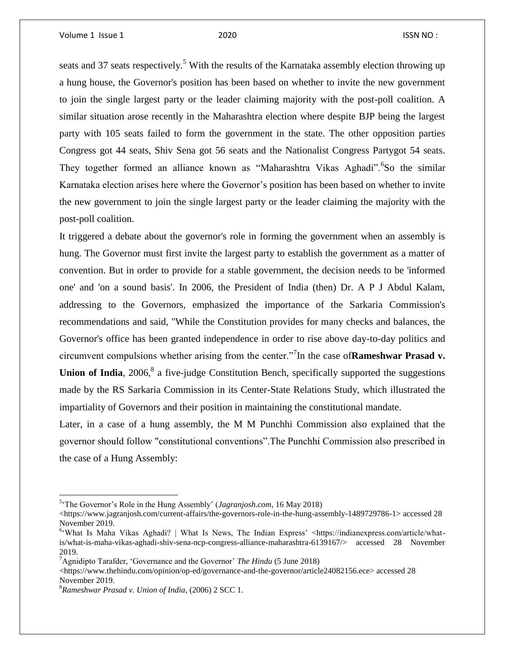seats and 37 seats respectively.<sup>5</sup> With the results of the Karnataka assembly election throwing up a hung house, the Governor's position has been based on whether to invite the new government to join the single largest party or the leader claiming majority with the post-poll coalition. A similar situation arose recently in the Maharashtra election where despite BJP being the largest party with 105 seats failed to form the government in the state. The other opposition parties Congress got 44 seats, Shiv Sena got 56 seats and the Nationalist Congress Partygot 54 seats. They together formed an alliance known as "Maharashtra Vikas Aghadi". <sup>6</sup>So the similar Karnataka election arises here where the Governor's position has been based on whether to invite the new government to join the single largest party or the leader claiming the majority with the post-poll coalition.

It triggered a debate about the governor's role in forming the government when an assembly is hung. The Governor must first invite the largest party to establish the government as a matter of convention. But in order to provide for a stable government, the decision needs to be 'informed one' and 'on a sound basis'. In 2006, the President of India (then) Dr. A P J Abdul Kalam, addressing to the Governors, emphasized the importance of the Sarkaria Commission's recommendations and said, "While the Constitution provides for many checks and balances, the Governor's office has been granted independence in order to rise above day-to-day politics and circumvent compulsions whether arising from the center."<sup>7</sup> In the case of**Rameshwar Prasad v.**  Union of India, 2006,<sup>8</sup> a five-judge Constitution Bench, specifically supported the suggestions made by the RS Sarkaria Commission in its Center-State Relations Study, which illustrated the impartiality of Governors and their position in maintaining the constitutional mandate.

Later, in a case of a hung assembly, the M M Punchhi Commission also explained that the governor should follow "constitutional conventions".The Punchhi Commission also prescribed in the case of a Hung Assembly:

<sup>5</sup> 'The Governor's Role in the Hung Assembly' (*Jagranjosh.com*, 16 May 2018)

 $\langle$ https://www.jagranjosh.com/current-affairs/the-governors-role-in-the-hung-assembly-1489729786-1> accessed 28 November 2019.

<sup>&</sup>lt;sup>6</sup> What Is Maha Vikas Aghadi? | What Is News, The Indian Express' <https://indianexpress.com/article/whatis/what-is-maha-vikas-aghadi-shiv-sena-ncp-congress-alliance-maharashtra-6139167/> accessed 28 November 2019.

<sup>7</sup>Agnidipto Tarafder, 'Governance and the Governor' *The Hindu* (5 June 2018)

<sup>&</sup>lt;https://www.thehindu.com/opinion/op-ed/governance-and-the-governor/article24082156.ece> accessed 28 November 2019.

<sup>8</sup>*Rameshwar Prasad v. Union of India*, (2006) 2 SCC 1.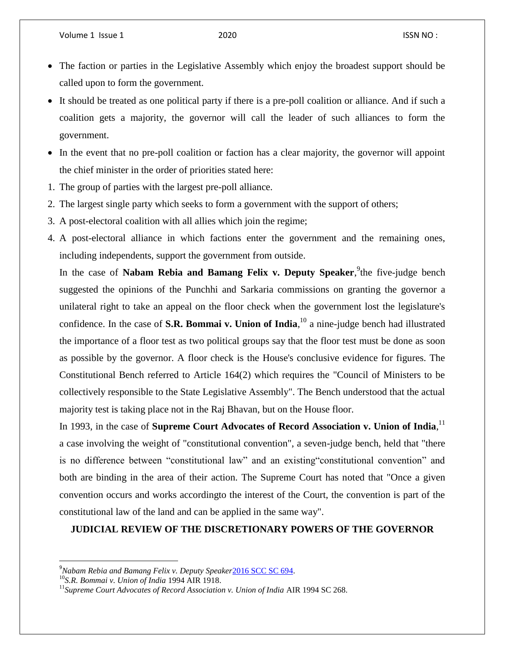- The faction or parties in the Legislative Assembly which enjoy the broadest support should be called upon to form the government.
- It should be treated as one political party if there is a pre-poll coalition or alliance. And if such a coalition gets a majority, the governor will call the leader of such alliances to form the government.
- In the event that no pre-poll coalition or faction has a clear majority, the governor will appoint the chief minister in the order of priorities stated here:
- 1. The group of parties with the largest pre-poll alliance.
- 2. The largest single party which seeks to form a government with the support of others;
- 3. A post-electoral coalition with all allies which join the regime;
- 4. A post-electoral alliance in which factions enter the government and the remaining ones, including independents, support the government from outside.

In the case of Nabam Rebia and Bamang Felix v. Deputy Speaker,<sup>9</sup>the five-judge bench suggested the opinions of the Punchhi and Sarkaria commissions on granting the governor a unilateral right to take an appeal on the floor check when the government lost the legislature's confidence. In the case of **S.R. Bommai v. Union of India**, <sup>10</sup> a nine-judge bench had illustrated the importance of a floor test as two political groups say that the floor test must be done as soon as possible by the governor. A floor check is the House's conclusive evidence for figures. The Constitutional Bench referred to Article 164(2) which requires the "Council of Ministers to be collectively responsible to the State Legislative Assembly". The Bench understood that the actual majority test is taking place not in the Raj Bhavan, but on the House floor.

In 1993, in the case of **Supreme Court Advocates of Record Association v. Union of India**,<sup>11</sup> a case involving the weight of "constitutional convention", a seven-judge bench, held that "there is no difference between "constitutional law" and an existing"constitutional convention" and both are binding in the area of their action. The Supreme Court has noted that "Once a given convention occurs and works accordingto the interest of the Court, the convention is part of the constitutional law of the land and can be applied in the same way".

### **JUDICIAL REVIEW OF THE DISCRETIONARY POWERS OF THE GOVERNOR**

<sup>9</sup> *Nabam Rebia and Bamang Felix v. Deputy Speaker*[2016](http://beta.scconline.com/LoginForNewsLink/2016_SCC_OnLine_SC_694) SCC SC 694.

<sup>10</sup>*S.R. Bommai v. Union of India* 1994 AIR 1918.

<sup>&</sup>lt;sup>11</sup>Supreme Court Advocates of Record Association v. Union of India AIR 1994 SC 268.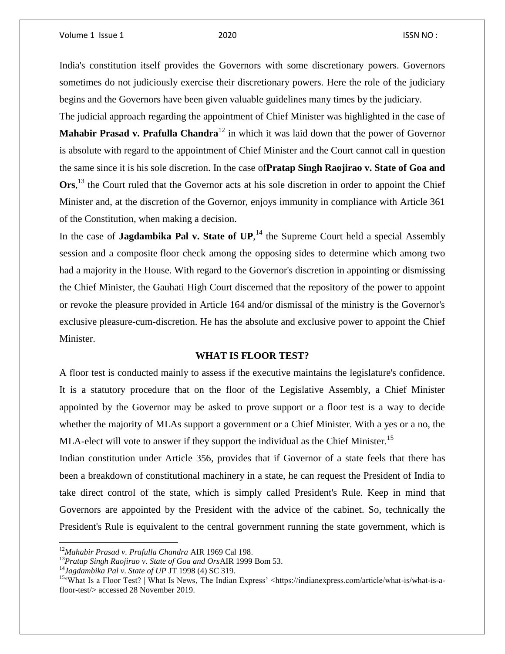India's constitution itself provides the Governors with some discretionary powers. Governors sometimes do not judiciously exercise their discretionary powers. Here the role of the judiciary begins and the Governors have been given valuable guidelines many times by the judiciary.

The judicial approach regarding the appointment of Chief Minister was highlighted in the case of **Mahabir Prasad v. Prafulla Chandra**<sup>12</sup> in which it was laid down that the power of Governor is absolute with regard to the appointment of Chief Minister and the Court cannot call in question the same since it is his sole discretion. In the case of**Pratap Singh Raojirao v. State of Goa and**  Ors,<sup>13</sup> the Court ruled that the Governor acts at his sole discretion in order to appoint the Chief Minister and, at the discretion of the Governor, enjoys immunity in compliance with Article 361 of the Constitution, when making a decision.

In the case of Jagdambika Pal v. State of UP,<sup>14</sup> the Supreme Court held a special Assembly session and a composite floor check among the opposing sides to determine which among two had a majority in the House. With regard to the Governor's discretion in appointing or dismissing the Chief Minister, the Gauhati High Court discerned that the repository of the power to appoint or revoke the pleasure provided in Article 164 and/or dismissal of the ministry is the Governor's exclusive pleasure-cum-discretion. He has the absolute and exclusive power to appoint the Chief Minister.

#### **WHAT IS FLOOR TEST?**

A floor test is conducted mainly to assess if the executive maintains the legislature's confidence. It is a statutory procedure that on the floor of the Legislative Assembly, a Chief Minister appointed by the Governor may be asked to prove support or a floor test is a way to decide whether the majority of MLAs support a government or a Chief Minister. With a yes or a no, the MLA-elect will vote to answer if they support the individual as the Chief Minister.<sup>15</sup>

Indian constitution under Article 356, provides that if Governor of a state feels that there has been a breakdown of constitutional machinery in a state, he can request the President of India to take direct control of the state, which is simply called President's Rule. Keep in mind that Governors are appointed by the President with the advice of the cabinet. So, technically the President's Rule is equivalent to the central government running the state government, which is

 $\overline{a}$ 

<sup>12</sup>*Mahabir Prasad v. Prafulla Chandra* AIR 1969 Cal 198.

<sup>13</sup>*Pratap Singh Raojirao v. State of Goa and Ors*AIR 1999 Bom 53.

<sup>14</sup>*Jagdambika Pal v. State of UP* JT 1998 (4) SC 319.

<sup>15&#</sup>x27;What Is a Floor Test? | What Is News, The Indian Express' <https://indianexpress.com/article/what-is/what-is-afloor-test/> accessed 28 November 2019.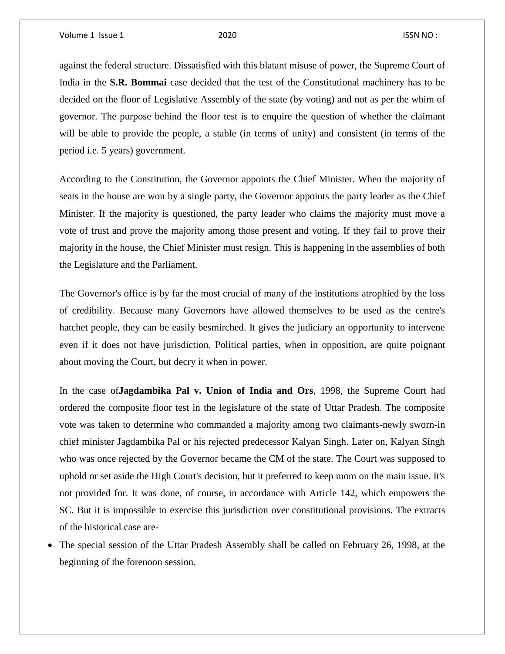against the federal structure. Dissatisfied with this blatant misuse of power, the Supreme Court of India in the **S.R. Bommai** case decided that the test of the Constitutional machinery has to be decided on the floor of Legislative Assembly of the state (by voting) and not as per the whim of governor. The purpose behind the floor test is to enquire the question of whether the claimant will be able to provide the people, a stable (in terms of unity) and consistent (in terms of the period i.e. 5 years) government.

According to the Constitution, the Governor appoints the Chief Minister. When the majority of seats in the house are won by a single party, the Governor appoints the party leader as the Chief Minister. If the majority is questioned, the party leader who claims the majority must move a vote of trust and prove the majority among those present and voting. If they fail to prove their majority in the house, the Chief Minister must resign. This is happening in the assemblies of both the Legislature and the Parliament.

The Governor's office is by far the most crucial of many of the institutions atrophied by the loss of credibility. Because many Governors have allowed themselves to be used as the centre's hatchet people, they can be easily besmirched. It gives the judiciary an opportunity to intervene even if it does not have jurisdiction. Political parties, when in opposition, are quite poignant about moving the Court, but decry it when in power.

In the case of**Jagdambika Pal v. Union of India and Ors**, 1998, the Supreme Court had ordered the composite floor test in the legislature of the state of Uttar Pradesh. The composite vote was taken to determine who commanded a majority among two claimants-newly sworn-in chief minister Jagdambika Pal or his rejected predecessor Kalyan Singh. Later on, Kalyan Singh who was once rejected by the Governor became the CM of the state. The Court was supposed to uphold or set aside the High Court's decision, but it preferred to keep mom on the main issue. It's not provided for. It was done, of course, in accordance with Article 142, which empowers the SC. But it is impossible to exercise this jurisdiction over constitutional provisions. The extracts of the historical case are-

 The special session of the Uttar Pradesh Assembly shall be called on February 26, 1998, at the beginning of the forenoon session.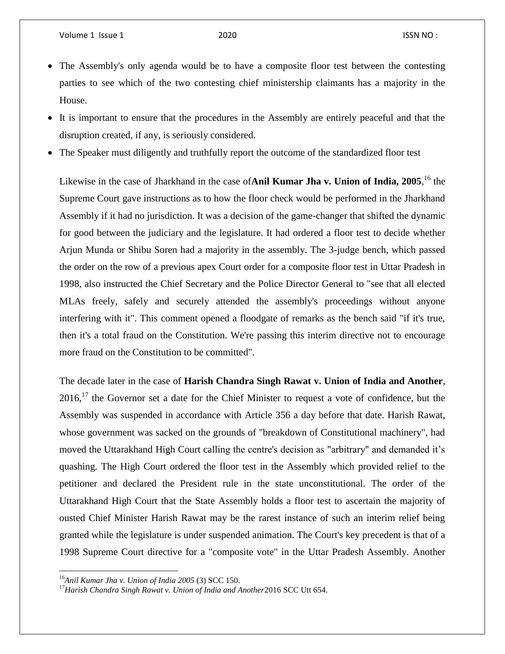- The Assembly's only agenda would be to have a composite floor test between the contesting parties to see which of the two contesting chief ministership claimants has a majority in the House.
- It is important to ensure that the procedures in the Assembly are entirely peaceful and that the disruption created, if any, is seriously considered.
- The Speaker must diligently and truthfully report the outcome of the standardized floor test

Likewise in the case of Jharkhand in the case of**Anil Kumar Jha v. Union of India, 2005**, <sup>16</sup> the Supreme Court gave instructions as to how the floor check would be performed in the Jharkhand Assembly if it had no jurisdiction. It was a decision of the game-changer that shifted the dynamic for good between the judiciary and the legislature. It had ordered a floor test to decide whether Arjun Munda or Shibu Soren had a majority in the assembly. The 3-judge bench, which passed the order on the row of a previous apex Court order for a composite floor test in Uttar Pradesh in 1998, also instructed the Chief Secretary and the Police Director General to "see that all elected MLAs freely, safely and securely attended the assembly's proceedings without anyone interfering with it". This comment opened a floodgate of remarks as the bench said "if it's true, then it's a total fraud on the Constitution. We're passing this interim directive not to encourage more fraud on the Constitution to be committed".

The decade later in the case of **Harish Chandra Singh Rawat v. Union of India and Another**, 2016,<sup>17</sup> the Governor set a date for the Chief Minister to request a vote of confidence, but the Assembly was suspended in accordance with Article 356 a day before that date. Harish Rawat, whose government was sacked on the grounds of "breakdown of Constitutional machinery", had moved the Uttarakhand High Court calling the centre's decision as "arbitrary" and demanded it's quashing. The High Court ordered the floor test in the Assembly which provided relief to the petitioner and declared the President rule in the state unconstitutional. The order of the Uttarakhand High Court that the State Assembly holds a floor test to ascertain the majority of ousted Chief Minister Harish Rawat may be the rarest instance of such an interim relief being granted while the legislature is under suspended animation. The Court's key precedent is that of a 1998 Supreme Court directive for a "composite vote" in the Uttar Pradesh Assembly. Another

<sup>16</sup>*Anil Kumar Jha v. Union of India 2005* (3) SCC 150.

<sup>&</sup>lt;sup>17</sup> Harish Chandra Singh Rawat v. Union of India and Another 2016 SCC Utt 654.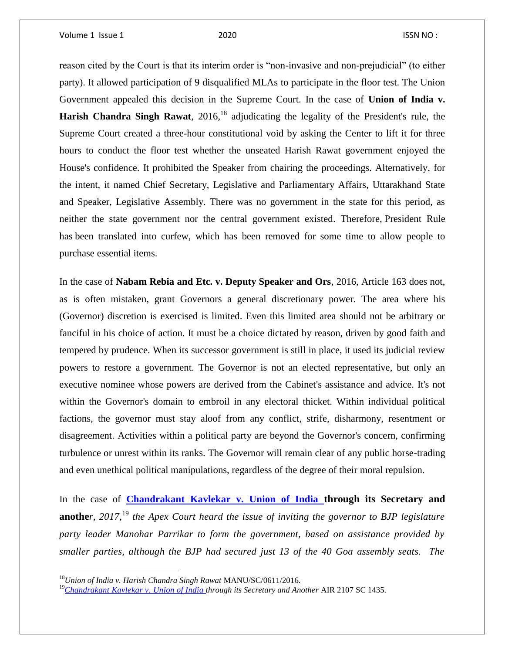reason cited by the Court is that its interim order is "non-invasive and non-prejudicial" (to either party). It allowed participation of 9 disqualified MLAs to participate in the floor test. The Union Government appealed this decision in the Supreme Court. In the case of **Union of India v. Harish Chandra Singh Rawat**,  $2016$ <sup>18</sup> adjudicating the legality of the President's rule, the Supreme Court created a three-hour constitutional void by asking the Center to lift it for three hours to conduct the floor test whether the unseated Harish Rawat government enjoyed the House's confidence. It prohibited the Speaker from chairing the proceedings. Alternatively, for the intent, it named Chief Secretary, Legislative and Parliamentary Affairs, Uttarakhand State and Speaker, Legislative Assembly. There was no government in the state for this period, as neither the state government nor the central government existed. Therefore, President Rule has been translated into curfew, which has been removed for some time to allow people to purchase essential items.

In the case of **Nabam Rebia and Etc. v. Deputy Speaker and Ors**, 2016, Article 163 does not, as is often mistaken, grant Governors a general discretionary power. The area where his (Governor) discretion is exercised is limited. Even this limited area should not be arbitrary or fanciful in his choice of action. It must be a choice dictated by reason, driven by good faith and tempered by prudence. When its successor government is still in place, it used its judicial review powers to restore a government. The Governor is not an elected representative, but only an executive nominee whose powers are derived from the Cabinet's assistance and advice. It's not within the Governor's domain to embroil in any electoral thicket. Within individual political factions, the governor must stay aloof from any conflict, strife, disharmony, resentment or disagreement. Activities within a political party are beyond the Governor's concern, confirming turbulence or unrest within its ranks. The Governor will remain clear of any public horse-trading and even unethical political manipulations, regardless of the degree of their moral repulsion.

In the case of **[Chandrakant Kavlekar v. Union of India](https://www.casemine.com/judgement/in/5a65cba84a93263320776be1) through its Secretary and [anothe](https://www.casemine.com/judgement/in/5a65cba84a93263320776be1)***r, 2017,*<sup>19</sup> *the Apex Court heard the issue of inviting the governor to BJP legislature party leader Manohar Parrikar to form the government, based on assistance provided by smaller parties, although the BJP had secured just 13 of the 40 Goa assembly seats. The* 

<sup>18</sup>*Union of India v. Harish Chandra Singh Rawat* MANU/SC/0611/2016.

<sup>19</sup>*Chandrakant Kavlekar v. [Union of India through its Secretary and Another](https://www.casemine.com/judgement/in/5a65cba84a93263320776be1)* AIR 2107 SC 1435.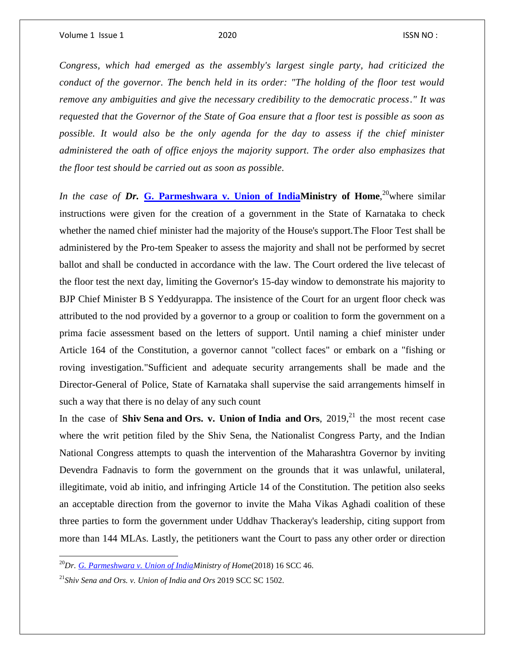*Congress, which had emerged as the assembly's largest single party, had criticized the conduct of the governor. The bench held in its order: "The holding of the floor test would remove any ambiguities and give the necessary credibility to the democratic process." It was requested that the Governor of the State of Goa ensure that a floor test is possible as soon as possible. It would also be the only agenda for the day to assess if the chief minister administered the oath of office enjoys the majority support. The order also emphasizes that the floor test should be carried out as soon as possible.*

In the case of Dr. [G. Parmeshwara v. Union of IndiaM](https://indiankanoon.org/doc/47897199/)inistry of Home,<sup>20</sup>where similar instructions were given for the creation of a government in the State of Karnataka to check whether the named chief minister had the majority of the House's support.The Floor Test shall be administered by the Pro-tem Speaker to assess the majority and shall not be performed by secret ballot and shall be conducted in accordance with the law. The Court ordered the live telecast of the floor test the next day, limiting the Governor's 15-day window to demonstrate his majority to BJP Chief Minister B S Yeddyurappa. The insistence of the Court for an urgent floor check was attributed to the nod provided by a governor to a group or coalition to form the government on a prima facie assessment based on the letters of support. Until naming a chief minister under Article 164 of the Constitution, a governor cannot "collect faces" or embark on a "fishing or roving investigation."Sufficient and adequate security arrangements shall be made and the Director-General of Police, State of Karnataka shall supervise the said arrangements himself in such a way that there is no delay of any such count

In the case of **Shiv Sena and Ors. v. Union of India and Ors**, 2019,<sup>21</sup> the most recent case where the writ petition filed by the Shiv Sena, the Nationalist Congress Party, and the Indian National Congress attempts to quash the intervention of the Maharashtra Governor by inviting Devendra Fadnavis to form the government on the grounds that it was unlawful, unilateral, illegitimate, void ab initio, and infringing Article 14 of the Constitution. The petition also seeks an acceptable direction from the governor to invite the Maha Vikas Aghadi coalition of these three parties to form the government under Uddhav Thackeray's leadership, citing support from more than 144 MLAs. Lastly, the petitioners want the Court to pass any other order or direction

<sup>20</sup>*Dr. [G. Parmeshwara v. Union of IndiaM](https://indiankanoon.org/doc/47897199/)inistry of Home*(2018) 16 SCC 46.

<sup>21</sup>*Shiv Sena and Ors. v. Union of India and Ors* 2019 SCC SC 1502.